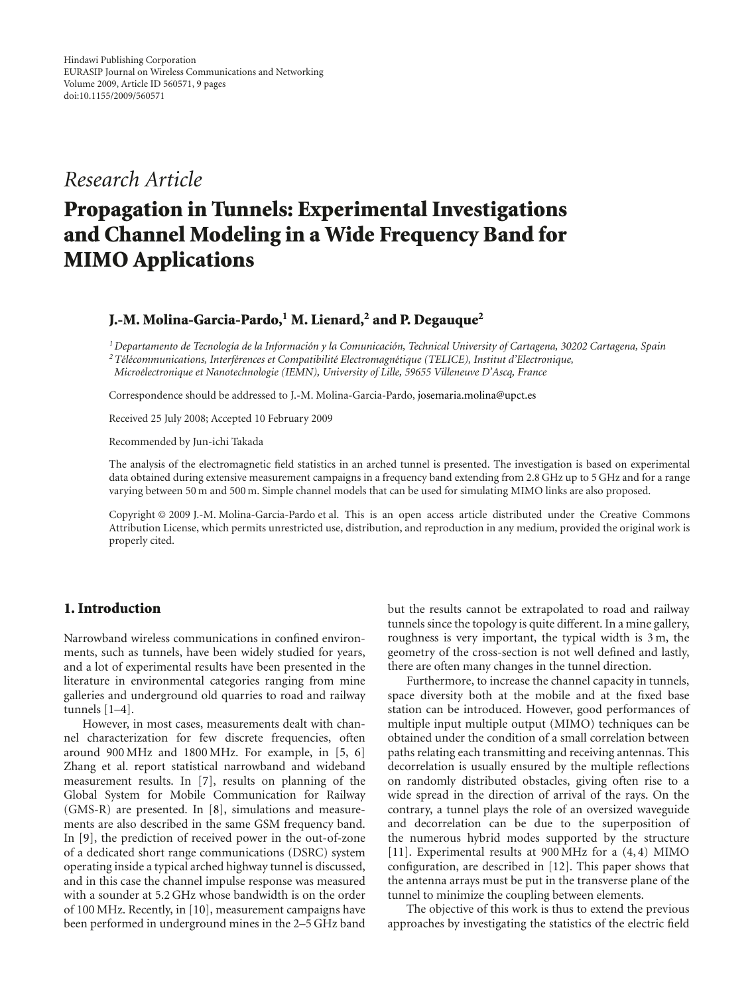## *Research Article*

# **Propagation in Tunnels: Experimental Investigations and Channel Modeling in a Wide Frequency Band for MIMO Applications**

## **J.-M. Molina-Garcia-Pardo,1 M. Lienard,2 and P. Degauque2**

*1Departamento de Tecnolog´ıa de la Informacion y la Comunicaci ´ on, Technical University of Cartagena, 30202 Cartagena, Spain ´*

*2T´el´ecommunications, Interf´erences et Compatibilit´e Electromagn´etique (TELICE), Institut d'Electronique, Micro´electronique et Nanotechnologie (IEMN), University of Lille, 59655 Villeneuve D'Ascq, France*

Correspondence should be addressed to J.-M. Molina-Garcia-Pardo, josemaria.molina@upct.es

Received 25 July 2008; Accepted 10 February 2009

Recommended by Jun-ichi Takada

The analysis of the electromagnetic field statistics in an arched tunnel is presented. The investigation is based on experimental data obtained during extensive measurement campaigns in a frequency band extending from 2.8 GHz up to 5 GHz and for a range varying between 50 m and 500 m. Simple channel models that can be used for simulating MIMO links are also proposed.

Copyright © 2009 J.-M. Molina-Garcia-Pardo et al. This is an open access article distributed under the Creative Commons Attribution License, which permits unrestricted use, distribution, and reproduction in any medium, provided the original work is properly cited.

## **1. Introduction**

Narrowband wireless communications in confined environments, such as tunnels, have been widely studied for years, and a lot of experimental results have been presented in the literature in environmental categories ranging from mine galleries and underground old quarries to road and railway tunnels [1–4].

However, in most cases, measurements dealt with channel characterization for few discrete frequencies, often around 900 MHz and 1800 MHz. For example, in [5, 6] Zhang et al. report statistical narrowband and wideband measurement results. In [7], results on planning of the Global System for Mobile Communication for Railway (GMS-R) are presented. In [8], simulations and measurements are also described in the same GSM frequency band. In [9], the prediction of received power in the out-of-zone of a dedicated short range communications (DSRC) system operating inside a typical arched highway tunnel is discussed, and in this case the channel impulse response was measured with a sounder at 5.2 GHz whose bandwidth is on the order of 100 MHz. Recently, in [10], measurement campaigns have been performed in underground mines in the 2–5 GHz band

but the results cannot be extrapolated to road and railway tunnels since the topology is quite different. In a mine gallery, roughness is very important, the typical width is 3 m, the geometry of the cross-section is not well defined and lastly, there are often many changes in the tunnel direction.

Furthermore, to increase the channel capacity in tunnels, space diversity both at the mobile and at the fixed base station can be introduced. However, good performances of multiple input multiple output (MIMO) techniques can be obtained under the condition of a small correlation between paths relating each transmitting and receiving antennas. This decorrelation is usually ensured by the multiple reflections on randomly distributed obstacles, giving often rise to a wide spread in the direction of arrival of the rays. On the contrary, a tunnel plays the role of an oversized waveguide and decorrelation can be due to the superposition of the numerous hybrid modes supported by the structure [11]. Experimental results at 900 MHz for a (4, 4) MIMO configuration, are described in [12]. This paper shows that the antenna arrays must be put in the transverse plane of the tunnel to minimize the coupling between elements.

The objective of this work is thus to extend the previous approaches by investigating the statistics of the electric field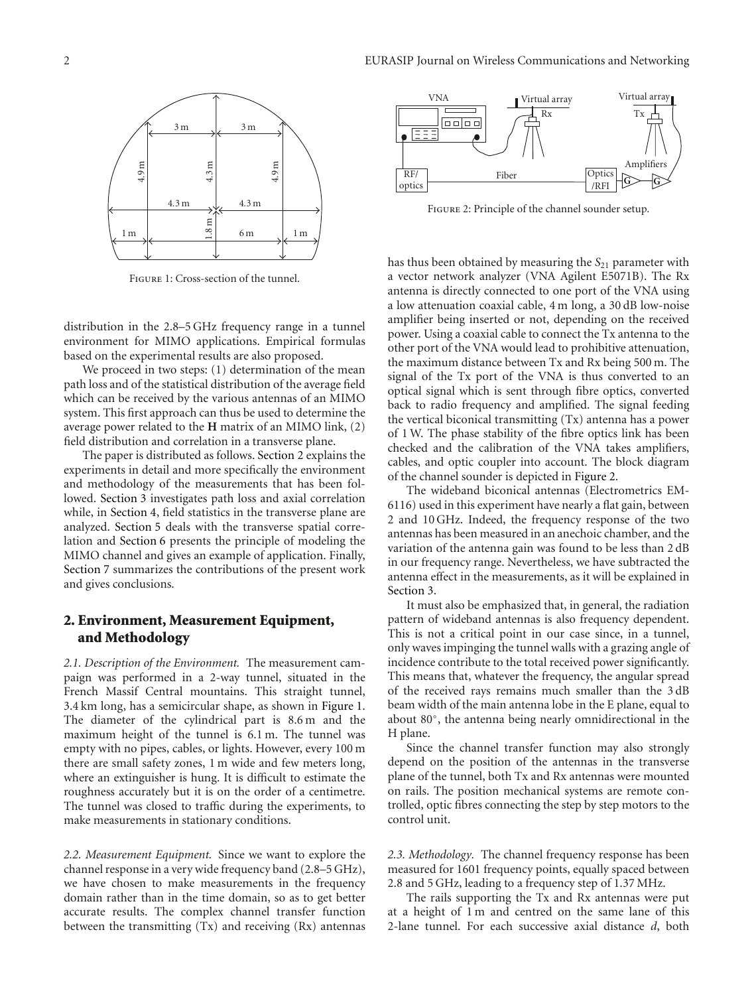

Figure 1: Cross-section of the tunnel.

distribution in the 2.8–5 GHz frequency range in a tunnel environment for MIMO applications. Empirical formulas based on the experimental results are also proposed.

We proceed in two steps: (1) determination of the mean path loss and of the statistical distribution of the average field which can be received by the various antennas of an MIMO system. This first approach can thus be used to determine the average power related to the **H** matrix of an MIMO link, (2) field distribution and correlation in a transverse plane.

The paper is distributed as follows. Section 2 explains the experiments in detail and more specifically the environment and methodology of the measurements that has been followed. Section 3 investigates path loss and axial correlation while, in Section 4, field statistics in the transverse plane are analyzed. Section 5 deals with the transverse spatial correlation and Section 6 presents the principle of modeling the MIMO channel and gives an example of application. Finally, Section 7 summarizes the contributions of the present work and gives conclusions.

## **2. Environment, Measurement Equipment, and Methodology**

*2.1. Description of the Environment.* The measurement campaign was performed in a 2-way tunnel, situated in the French Massif Central mountains. This straight tunnel, 3.4 km long, has a semicircular shape, as shown in Figure 1. The diameter of the cylindrical part is 8.6 m and the maximum height of the tunnel is 6.1 m. The tunnel was empty with no pipes, cables, or lights. However, every 100 m there are small safety zones, 1 m wide and few meters long, where an extinguisher is hung. It is difficult to estimate the roughness accurately but it is on the order of a centimetre. The tunnel was closed to traffic during the experiments, to make measurements in stationary conditions.

*2.2. Measurement Equipment.* Since we want to explore the channel response in a very wide frequency band (2.8–5 GHz), we have chosen to make measurements in the frequency domain rather than in the time domain, so as to get better accurate results. The complex channel transfer function between the transmitting (Tx) and receiving (Rx) antennas



Figure 2: Principle of the channel sounder setup.

has thus been obtained by measuring the *S*<sub>21</sub> parameter with a vector network analyzer (VNA Agilent E5071B). The Rx antenna is directly connected to one port of the VNA using a low attenuation coaxial cable, 4 m long, a 30 dB low-noise amplifier being inserted or not, depending on the received power. Using a coaxial cable to connect the Tx antenna to the other port of the VNA would lead to prohibitive attenuation, the maximum distance between Tx and Rx being 500 m. The signal of the Tx port of the VNA is thus converted to an optical signal which is sent through fibre optics, converted back to radio frequency and amplified. The signal feeding the vertical biconical transmitting (Tx) antenna has a power of 1 W. The phase stability of the fibre optics link has been checked and the calibration of the VNA takes amplifiers, cables, and optic coupler into account. The block diagram of the channel sounder is depicted in Figure 2.

The wideband biconical antennas (Electrometrics EM-6116) used in this experiment have nearly a flat gain, between 2 and 10 GHz. Indeed, the frequency response of the two antennas has been measured in an anechoic chamber, and the variation of the antenna gain was found to be less than 2 dB in our frequency range. Nevertheless, we have subtracted the antenna effect in the measurements, as it will be explained in Section 3.

It must also be emphasized that, in general, the radiation pattern of wideband antennas is also frequency dependent. This is not a critical point in our case since, in a tunnel, only waves impinging the tunnel walls with a grazing angle of incidence contribute to the total received power significantly. This means that, whatever the frequency, the angular spread of the received rays remains much smaller than the 3 dB beam width of the main antenna lobe in the E plane, equal to about 80◦, the antenna being nearly omnidirectional in the H plane.

Since the channel transfer function may also strongly depend on the position of the antennas in the transverse plane of the tunnel, both Tx and Rx antennas were mounted on rails. The position mechanical systems are remote controlled, optic fibres connecting the step by step motors to the control unit.

*2.3. Methodology.* The channel frequency response has been measured for 1601 frequency points, equally spaced between 2.8 and 5 GHz, leading to a frequency step of 1.37 MHz.

The rails supporting the Tx and Rx antennas were put at a height of 1 m and centred on the same lane of this 2-lane tunnel. For each successive axial distance *d*, both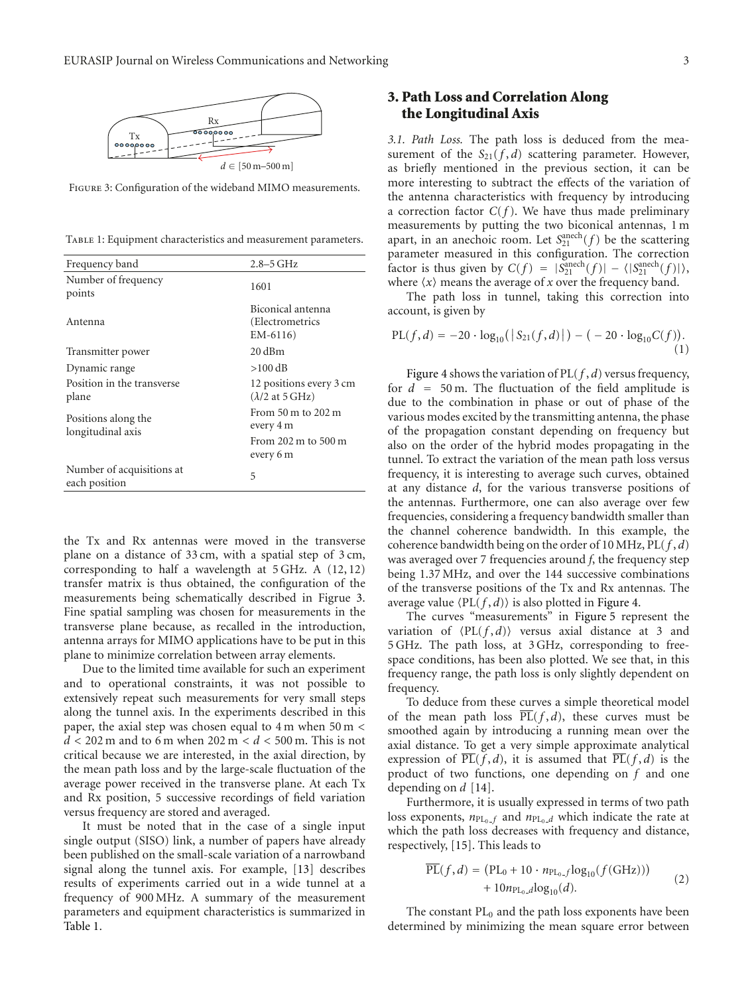

Figure 3: Configuration of the wideband MIMO measurements.

TABLE 1: Equipment characteristics and measurement parameters.

| Frequency band                             | $2.8 - 5$ GHz                                                                           |  |
|--------------------------------------------|-----------------------------------------------------------------------------------------|--|
| Number of frequency<br>points              | 1601                                                                                    |  |
| Antenna                                    | Biconical antenna<br>(Electrometrics<br>$EM-6116$                                       |  |
| Transmitter power                          | $20 \text{ dBm}$                                                                        |  |
| Dynamic range                              | $>100$ dB                                                                               |  |
| Position in the transverse<br>plane        | 12 positions every 3 cm<br>$(\lambda/2$ at 5 GHz)                                       |  |
| Positions along the<br>longitudinal axis   | From $50 \text{ m}$ to $202 \text{ m}$<br>every 4 m<br>From 202 m to 500 m<br>every 6 m |  |
| Number of acquisitions at<br>each position | 5                                                                                       |  |

the Tx and Rx antennas were moved in the transverse plane on a distance of 33 cm, with a spatial step of 3 cm, corresponding to half a wavelength at 5 GHz. A (12, 12) transfer matrix is thus obtained, the configuration of the measurements being schematically described in Figrue 3. Fine spatial sampling was chosen for measurements in the transverse plane because, as recalled in the introduction, antenna arrays for MIMO applications have to be put in this plane to minimize correlation between array elements.

Due to the limited time available for such an experiment and to operational constraints, it was not possible to extensively repeat such measurements for very small steps along the tunnel axis. In the experiments described in this paper, the axial step was chosen equal to 4 m when 50 m *< d <* 202 m and to 6 m when 202 m *< d <* 500 m. This is not critical because we are interested, in the axial direction, by the mean path loss and by the large-scale fluctuation of the average power received in the transverse plane. At each Tx and Rx position, 5 successive recordings of field variation versus frequency are stored and averaged.

It must be noted that in the case of a single input single output (SISO) link, a number of papers have already been published on the small-scale variation of a narrowband signal along the tunnel axis. For example, [13] describes results of experiments carried out in a wide tunnel at a frequency of 900 MHz. A summary of the measurement parameters and equipment characteristics is summarized in Table 1.

## **3. Path Loss and Correlation Along the Longitudinal Axis**

*3.1. Path Loss.* The path loss is deduced from the measurement of the  $S_{21}(f, d)$  scattering parameter. However, as briefly mentioned in the previous section, it can be more interesting to subtract the effects of the variation of the antenna characteristics with frequency by introducing a correction factor  $C(f)$ . We have thus made preliminary measurements by putting the two biconical antennas, 1 m apart, in an anechoic room. Let  $S_{21}^{\text{anech}}(f)$  be the scattering parameter measured in this configuration. The correction factor is thus given by  $C(f) = |S_{21}^{\text{anech}}(f)| - \langle |S_{21}^{\text{anech}}(f)| \rangle$ , where  $\langle x \rangle$  means the average of  $x$  over the frequency band.

The path loss in tunnel, taking this correction into account, is given by

$$
PL(f, d) = -20 \cdot log_{10}(|S_{21}(f, d)|) - (-20 \cdot log_{10}C(f)).
$$
\n(1)

Figure 4 shows the variation of PL(*f* , *d*) versus frequency, for  $d = 50$  m. The fluctuation of the field amplitude is due to the combination in phase or out of phase of the various modes excited by the transmitting antenna, the phase of the propagation constant depending on frequency but also on the order of the hybrid modes propagating in the tunnel. To extract the variation of the mean path loss versus frequency, it is interesting to average such curves, obtained at any distance *d*, for the various transverse positions of the antennas. Furthermore, one can also average over few frequencies, considering a frequency bandwidth smaller than the channel coherence bandwidth. In this example, the coherence bandwidth being on the order of 10 MHz, PL(*f* , *d*) was averaged over 7 frequencies around *f*, the frequency step being 1.37 MHz, and over the 144 successive combinations of the transverse positions of the Tx and Rx antennas. The average value  $\langle PL(f, d) \rangle$  is also plotted in Figure 4.

The curves "measurements" in Figure 5 represent the variation of  $\langle PL(f, d) \rangle$  versus axial distance at 3 and 5 GHz. The path loss, at 3 GHz, corresponding to freespace conditions, has been also plotted. We see that, in this frequency range, the path loss is only slightly dependent on frequency.

To deduce from these curves a simple theoretical model of the mean path loss  $\overline{PL}(f, d)$ , these curves must be smoothed again by introducing a running mean over the axial distance. To get a very simple approximate analytical expression of  $\overline{PL}(f,d)$ , it is assumed that  $\overline{PL}(f,d)$  is the product of two functions, one depending on *f* and one depending on *d* [14].

Furthermore, it is usually expressed in terms of two path loss exponents,  $n_{PL_0}$  *f* and  $n_{PL_0}$  *d* which indicate the rate at which the path loss decreases with frequency and distance, respectively, [15]. This leads to

$$
\overline{\text{PL}}(f,d) = (\text{PL}_0 + 10 \cdot n_{\text{PL}_0,f} \log_{10}(f(\text{GHz}))) + 10n_{\text{PL}_0,d} \log_{10}(d). \tag{2}
$$

The constant  $PL_0$  and the path loss exponents have been determined by minimizing the mean square error between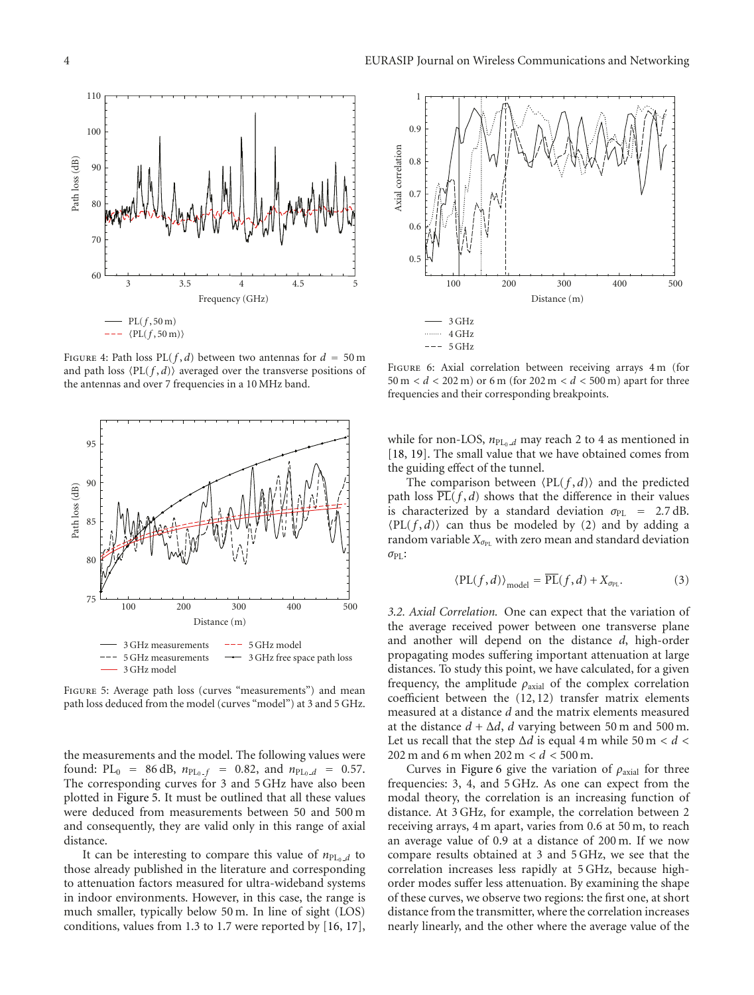

FIGURE 4: Path loss  $PL(f, d)$  between two antennas for  $d = 50$  m and path loss  $\langle PL(f, d) \rangle$  averaged over the transverse positions of the antennas and over 7 frequencies in a 10 MHz band.



Figure 5: Average path loss (curves "measurements") and mean path loss deduced from the model (curves "model") at 3 and 5 GHz.

the measurements and the model. The following values were found:  $PL_0 = 86 dB$ ,  $n_{PL_0} f = 0.82$ , and  $n_{PL_0} f = 0.57$ . The corresponding curves for 3 and 5 GHz have also been plotted in Figure 5. It must be outlined that all these values were deduced from measurements between 50 and 500 m and consequently, they are valid only in this range of axial distance.

It can be interesting to compare this value of  $n_{PL_0,d}$  to those already published in the literature and corresponding to attenuation factors measured for ultra-wideband systems in indoor environments. However, in this case, the range is much smaller, typically below 50 m. In line of sight (LOS) conditions, values from 1.3 to 1.7 were reported by [16, 17],



FIGURE 6: Axial correlation between receiving arrays 4 m (for 50 m *< d <* 202 m) or 6 m (for 202 m *< d <* 500 m) apart for three frequencies and their corresponding breakpoints.

while for non-LOS,  $n_{PL_0_d}$  may reach 2 to 4 as mentioned in [18, 19]. The small value that we have obtained comes from the guiding effect of the tunnel.

The comparison between  $\langle PL(f, d) \rangle$  and the predicted path loss  $\overline{PL}(f, d)$  shows that the difference in their values is characterized by a standard deviation  $\sigma_{PL}$  = 2.7 dB.  $\langle PL(f, d) \rangle$  can thus be modeled by (2) and by adding a random variable  $X_{\sigma_{\text{PI}}}$  with zero mean and standard deviation *σ*PL:

$$
\langle \text{PL}(f,d) \rangle_{\text{model}} = \overline{\text{PL}}(f,d) + X_{\sigma_{\text{PL}}}.
$$
 (3)

*3.2. Axial Correlation.* One can expect that the variation of the average received power between one transverse plane and another will depend on the distance *d*, high-order propagating modes suffering important attenuation at large distances. To study this point, we have calculated, for a given frequency, the amplitude  $\rho_{\text{axial}}$  of the complex correlation coefficient between the (12, 12) transfer matrix elements measured at a distance *d* and the matrix elements measured at the distance  $d + \Delta d$ , *d* varying between 50 m and 500 m. Let us recall that the step  $\Delta d$  is equal 4 m while 50 m <  $d$  < 202 m and 6 m when 202 m *< d <* 500 m.

Curves in Figure 6 give the variation of *ρ*axial for three frequencies: 3, 4, and 5 GHz. As one can expect from the modal theory, the correlation is an increasing function of distance. At 3 GHz, for example, the correlation between 2 receiving arrays, 4 m apart, varies from 0.6 at 50 m, to reach an average value of 0.9 at a distance of 200 m. If we now compare results obtained at 3 and 5 GHz, we see that the correlation increases less rapidly at 5 GHz, because highorder modes suffer less attenuation. By examining the shape of these curves, we observe two regions: the first one, at short distance from the transmitter, where the correlation increases nearly linearly, and the other where the average value of the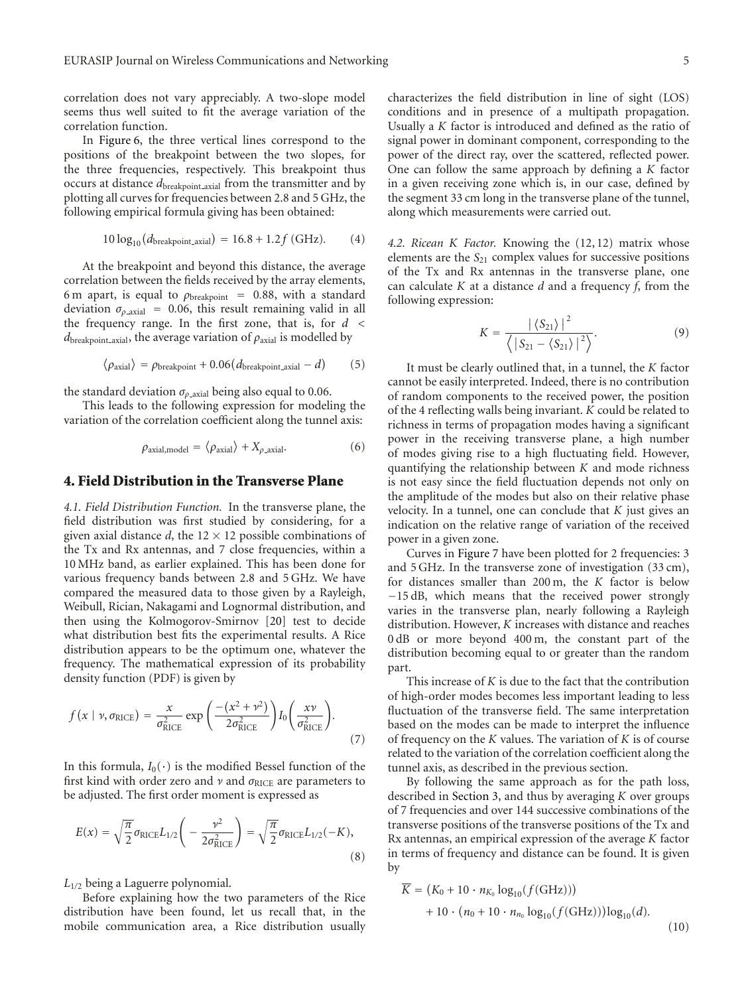correlation does not vary appreciably. A two-slope model seems thus well suited to fit the average variation of the correlation function.

In Figure 6, the three vertical lines correspond to the positions of the breakpoint between the two slopes, for the three frequencies, respectively. This breakpoint thus occurs at distance  $d_{\text{breakpoint\_axial}}$  from the transmitter and by plotting all curves for frequencies between 2.8 and 5 GHz, the following empirical formula giving has been obtained:

$$
10\log_{10}(d_{\text{breakpoint}\_axial}) = 16.8 + 1.2f \,(\text{GHz}).\tag{4}
$$

At the breakpoint and beyond this distance, the average correlation between the fields received by the array elements, 6 m apart, is equal to  $\rho_{\text{breakpoint}}$  = 0.88, with a standard deviation  $\sigma_{\rho}$ <sub>axial</sub> = 0.06, this result remaining valid in all the frequency range. In the first zone, that is, for *d <*  $d_{\text{breakpoint}\_\text{axial}}$ , the average variation of  $\rho_{\text{axial}}$  is modelled by

$$
\langle \rho_{\text{axial}} \rangle = \rho_{\text{breakpoint}} + 0.06(d_{\text{breakpoint}\_\text{axial}} - d) \tag{5}
$$

the standard deviation  $\sigma_{\rho}$ <sub>axial</sub> being also equal to 0.06.

This leads to the following expression for modeling the variation of the correlation coefficient along the tunnel axis:

$$
\rho_{\text{axial,model}} = \langle \rho_{\text{axial}} \rangle + X_{\rho\text{-axial}}.\tag{6}
$$

#### **4. Field Distribution in the Transverse Plane**

*4.1. Field Distribution Function.* In the transverse plane, the field distribution was first studied by considering, for a given axial distance  $d$ , the  $12 \times 12$  possible combinations of the Tx and Rx antennas, and 7 close frequencies, within a 10 MHz band, as earlier explained. This has been done for various frequency bands between 2.8 and 5 GHz. We have compared the measured data to those given by a Rayleigh, Weibull, Rician, Nakagami and Lognormal distribution, and then using the Kolmogorov-Smirnov [20] test to decide what distribution best fits the experimental results. A Rice distribution appears to be the optimum one, whatever the frequency. The mathematical expression of its probability density function (PDF) is given by

$$
f(x \mid \nu, \sigma_{\text{RICE}}) = \frac{x}{\sigma_{\text{RICE}}^2} \exp\left(\frac{-(x^2 + \nu^2)}{2\sigma_{\text{RICE}}^2}\right) I_0\left(\frac{x\nu}{\sigma_{\text{RICE}}^2}\right). \tag{7}
$$

In this formula,  $I_0(\cdot)$  is the modified Bessel function of the first kind with order zero and *ν* and σ<sub>RICE</sub> are parameters to be adjusted. The first order moment is expressed as

$$
E(x) = \sqrt{\frac{\pi}{2}} \sigma_{\text{RICE}} L_{1/2} \left( -\frac{\nu^2}{2\sigma_{\text{RICE}}^2} \right) = \sqrt{\frac{\pi}{2}} \sigma_{\text{RICE}} L_{1/2}(-K),
$$
\n(8)

*L*<sup>1</sup>*/*<sup>2</sup> being a Laguerre polynomial.

Before explaining how the two parameters of the Rice distribution have been found, let us recall that, in the mobile communication area, a Rice distribution usually characterizes the field distribution in line of sight (LOS) conditions and in presence of a multipath propagation. Usually a *K* factor is introduced and defined as the ratio of signal power in dominant component, corresponding to the power of the direct ray, over the scattered, reflected power. One can follow the same approach by defining a *K* factor in a given receiving zone which is, in our case, defined by the segment 33 cm long in the transverse plane of the tunnel, along which measurements were carried out.

*4.2. Ricean K Factor.* Knowing the (12, 12) matrix whose elements are the *S*<sub>21</sub> complex values for successive positions of the Tx and Rx antennas in the transverse plane, one can calculate *K* at a distance *d* and a frequency *f*, from the following expression:

$$
K = \frac{|\left\langle S_{21}\right\rangle|^2}{\left\langle \left|S_{21} - \left\langle S_{21}\right\rangle\right|^2 \right\rangle}.
$$
 (9)

It must be clearly outlined that, in a tunnel, the *K* factor cannot be easily interpreted. Indeed, there is no contribution of random components to the received power, the position of the 4 reflecting walls being invariant. *K* could be related to richness in terms of propagation modes having a significant power in the receiving transverse plane, a high number of modes giving rise to a high fluctuating field. However, quantifying the relationship between *K* and mode richness is not easy since the field fluctuation depends not only on the amplitude of the modes but also on their relative phase velocity. In a tunnel, one can conclude that *K* just gives an indication on the relative range of variation of the received power in a given zone.

Curves in Figure 7 have been plotted for 2 frequencies: 3 and 5 GHz. In the transverse zone of investigation (33 cm), for distances smaller than 200 m, the *K* factor is below −15 dB, which means that the received power strongly varies in the transverse plan, nearly following a Rayleigh distribution. However, *K* increases with distance and reaches 0 dB or more beyond 400 m, the constant part of the distribution becoming equal to or greater than the random part.

This increase of *K* is due to the fact that the contribution of high-order modes becomes less important leading to less fluctuation of the transverse field. The same interpretation based on the modes can be made to interpret the influence of frequency on the *K* values. The variation of *K* is of course related to the variation of the correlation coefficient along the tunnel axis, as described in the previous section.

By following the same approach as for the path loss, described in Section 3, and thus by averaging *K* over groups of 7 frequencies and over 144 successive combinations of the transverse positions of the transverse positions of the Tx and Rx antennas, an empirical expression of the average *K* factor in terms of frequency and distance can be found. It is given by

$$
\overline{K} = (K_0 + 10 \cdot n_{K_0} \log_{10}(f(GHz))) + 10 \cdot (n_0 + 10 \cdot n_{n_0} \log_{10}(f(GHz))) \log_{10}(d).
$$
\n(10)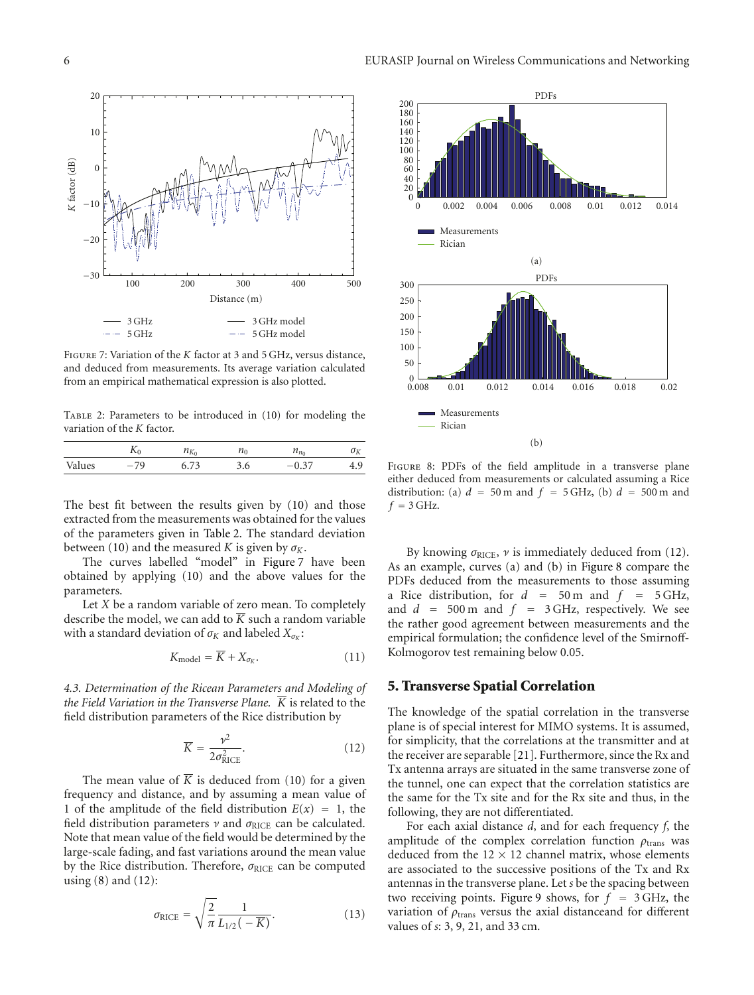

Figure 7: Variation of the *K* factor at 3 and 5 GHz, versus distance, and deduced from measurements. Its average variation calculated from an empirical mathematical expression is also plotted.

Table 2: Parameters to be introduced in (10) for modeling the variation of the *K* factor.

|        |       | $\mathcal{N}(1)$ |       |   |    |
|--------|-------|------------------|-------|---|----|
| values | $-70$ |                  | ں ، ب | ິ | τ, |

The best fit between the results given by (10) and those extracted from the measurements was obtained for the values of the parameters given in Table 2. The standard deviation between (10) and the measured *K* is given by  $\sigma_K$ .

The curves labelled "model" in Figure 7 have been obtained by applying (10) and the above values for the parameters.

Let *X* be a random variable of zero mean. To completely describe the model, we can add to  $\overline{K}$  such a random variable with a standard deviation of  $\sigma_K$  and labeled  $X_{\sigma_K}$ :

$$
K_{\text{model}} = \overline{K} + X_{\sigma_K}.\tag{11}
$$

*4.3. Determination of the Ricean Parameters and Modeling of the Field Variation in the Transverse Plane.*  $\overline{K}$  is related to the field distribution parameters of the Rice distribution by

$$
\overline{K} = \frac{\nu^2}{2\sigma_{\text{RICE}}^2}.
$$
 (12)

The mean value of  $\overline{K}$  is deduced from (10) for a given frequency and distance, and by assuming a mean value of 1 of the amplitude of the field distribution  $E(x) = 1$ , the field distribution parameters *ν* and *σ*<sub>RICE</sub> can be calculated. Note that mean value of the field would be determined by the large-scale fading, and fast variations around the mean value by the Rice distribution. Therefore, *σ*<sub>RICE</sub> can be computed using (8) and (12):

$$
\sigma_{\text{RICE}} = \sqrt{\frac{2}{\pi}} \frac{1}{L_{1/2}(-\overline{K})}.
$$
\n(13)



Figure 8: PDFs of the field amplitude in a transverse plane either deduced from measurements or calculated assuming a Rice distribution: (a)  $d = 50$  m and  $f = 5$  GHz, (b)  $d = 500$  m and  $f = 3$  GHz.

By knowing  $\sigma_{\text{RICE}}$ ,  $\nu$  is immediately deduced from (12). As an example, curves (a) and (b) in Figure 8 compare the PDFs deduced from the measurements to those assuming a Rice distribution, for  $d = 50$  m and  $f = 5$  GHz, and  $d = 500 \text{ m}$  and  $f = 3 \text{ GHz}$ , respectively. We see the rather good agreement between measurements and the empirical formulation; the confidence level of the Smirnoff-Kolmogorov test remaining below 0.05.

#### **5. Transverse Spatial Correlation**

The knowledge of the spatial correlation in the transverse plane is of special interest for MIMO systems. It is assumed, for simplicity, that the correlations at the transmitter and at the receiver are separable [21]. Furthermore, since the Rx and Tx antenna arrays are situated in the same transverse zone of the tunnel, one can expect that the correlation statistics are the same for the Tx site and for the Rx site and thus, in the following, they are not differentiated.

For each axial distance *d*, and for each frequency *f*, the amplitude of the complex correlation function *ρ*trans was deduced from the  $12 \times 12$  channel matrix, whose elements are associated to the successive positions of the Tx and Rx antennas in the transverse plane. Let *s* be the spacing between two receiving points. Figure 9 shows, for  $f = 3$  GHz, the variation of  $\rho_{trans}$  versus the axial distanceand for different values of *s*: 3, 9, 21, and 33 cm.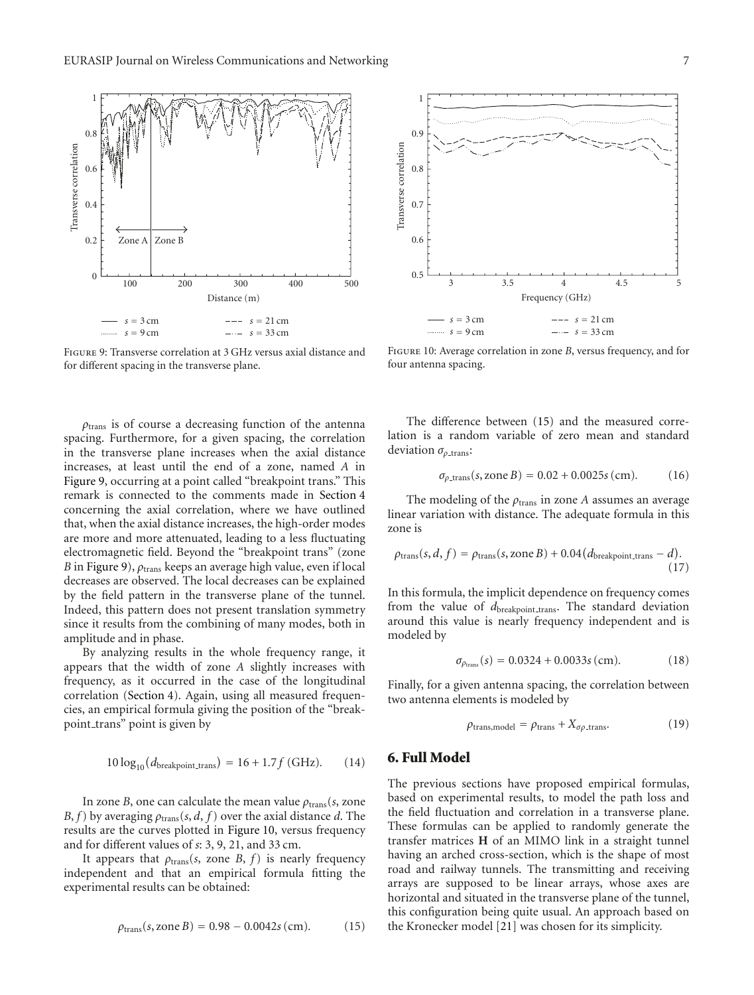

Figure 9: Transverse correlation at 3 GHz versus axial distance and for different spacing in the transverse plane.

*ρ*trans is of course a decreasing function of the antenna spacing. Furthermore, for a given spacing, the correlation in the transverse plane increases when the axial distance increases, at least until the end of a zone, named *A* in Figure 9, occurring at a point called "breakpoint trans." This remark is connected to the comments made in Section 4 concerning the axial correlation, where we have outlined that, when the axial distance increases, the high-order modes are more and more attenuated, leading to a less fluctuating electromagnetic field. Beyond the "breakpoint trans" (zone *B* in Figure 9), *ρ*trans keeps an average high value, even if local decreases are observed. The local decreases can be explained by the field pattern in the transverse plane of the tunnel. Indeed, this pattern does not present translation symmetry since it results from the combining of many modes, both in amplitude and in phase.

By analyzing results in the whole frequency range, it appears that the width of zone *A* slightly increases with frequency, as it occurred in the case of the longitudinal correlation (Section 4). Again, using all measured frequencies, an empirical formula giving the position of the "breakpoint\_trans" point is given by

$$
10\log_{10}(d_{\text{breakpoint\_trans}}) = 16 + 1.7f \text{ (GHz)}. \qquad (14)
$$

In zone *B*, one can calculate the mean value  $\rho_{trans}(s, \text{zone})$ *B*, *f*) by averaging  $\rho_{trans}(s, d, f)$  over the axial distance *d*. The results are the curves plotted in Figure 10, versus frequency and for different values of *s*: 3, 9, 21, and 33 cm.

It appears that  $\rho_{trans}(s, \text{ zone } B, f)$  is nearly frequency independent and that an empirical formula fitting the experimental results can be obtained:

$$
\rho_{\text{trans}}(s, \text{zone } B) = 0.98 - 0.0042s \, (\text{cm}). \tag{15}
$$



Figure 10: Average correlation in zone *B*, versus frequency, and for four antenna spacing.

The difference between (15) and the measured correlation is a random variable of zero mean and standard deviation *σ*<sub>ρ\_trans</sub>:

$$
\sigma_{\rho \text{.trans}}(s, \text{zone } B) = 0.02 + 0.0025s \, (\text{cm}). \tag{16}
$$

The modeling of the  $\rho_{trans}$  in zone *A* assumes an average linear variation with distance. The adequate formula in this zone is

$$
\rho_{\text{trans}}(s, d, f) = \rho_{\text{trans}}(s, \text{zone } B) + 0.04 \left(d_{\text{breakpoint\_trans}} - d\right). \tag{17}
$$

In this formula, the implicit dependence on frequency comes from the value of  $d_{\text{breakpoint\_trans}}$ . The standard deviation around this value is nearly frequency independent and is modeled by

$$
\sigma_{\rho_{\text{trans}}}(s) = 0.0324 + 0.0033s \, \text{(cm)}.\tag{18}
$$

Finally, for a given antenna spacing, the correlation between two antenna elements is modeled by

$$
\rho_{\text{trans,model}} = \rho_{\text{trans}} + X_{\sigma\rho_{\text{.trans}}}.\tag{19}
$$

#### **6. Full Model**

The previous sections have proposed empirical formulas, based on experimental results, to model the path loss and the field fluctuation and correlation in a transverse plane. These formulas can be applied to randomly generate the transfer matrices **H** of an MIMO link in a straight tunnel having an arched cross-section, which is the shape of most road and railway tunnels. The transmitting and receiving arrays are supposed to be linear arrays, whose axes are horizontal and situated in the transverse plane of the tunnel, this configuration being quite usual. An approach based on the Kronecker model [21] was chosen for its simplicity.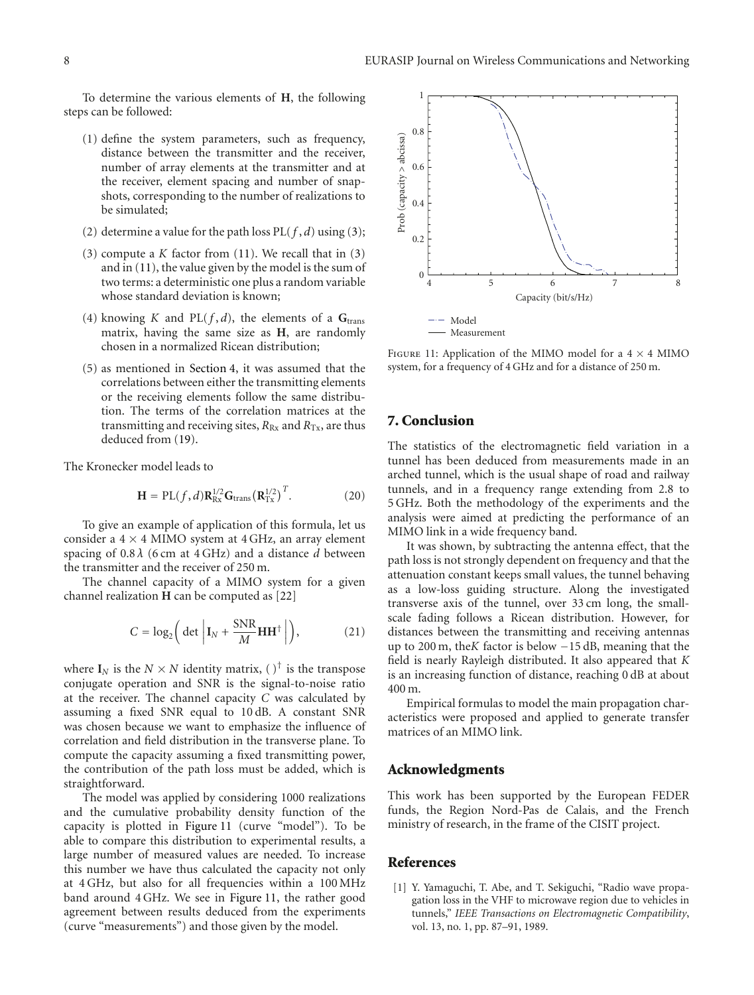To determine the various elements of **H**, the following steps can be followed:

- (1) define the system parameters, such as frequency, distance between the transmitter and the receiver, number of array elements at the transmitter and at the receiver, element spacing and number of snapshots, corresponding to the number of realizations to be simulated;
- (2) determine a value for the path loss  $PL(f, d)$  using (3);
- (3) compute a *K* factor from (11). We recall that in (3) and in (11), the value given by the model is the sum of two terms: a deterministic one plus a random variable whose standard deviation is known;
- (4) knowing *K* and PL( $f$ ,  $d$ ), the elements of a  $G<sub>trans</sub>$ matrix, having the same size as **H**, are randomly chosen in a normalized Ricean distribution;
- (5) as mentioned in Section 4, it was assumed that the correlations between either the transmitting elements or the receiving elements follow the same distribution. The terms of the correlation matrices at the transmitting and receiving sites,  $R_{Rx}$  and  $R_{Tx}$ , are thus deduced from (19).

The Kronecker model leads to

$$
\mathbf{H} = PL(f, d)\mathbf{R}_{Rx}^{1/2}\mathbf{G}_{trans}(\mathbf{R}_{Tx}^{1/2})^{T}.
$$
 (20)

To give an example of application of this formula, let us consider a  $4 \times 4$  MIMO system at  $4$  GHz, an array element spacing of 0.8 *λ* (6 cm at 4 GHz) and a distance *d* between the transmitter and the receiver of 250 m.

The channel capacity of a MIMO system for a given channel realization **H** can be computed as [22]

$$
C = \log_2 \left( \det \left| \mathbf{I}_N + \frac{\text{SNR}}{M} \mathbf{H} \mathbf{H}^\dagger \right| \right),\tag{21}
$$

where  $I_N$  is the  $N \times N$  identity matrix, ()<sup>†</sup> is the transpose conjugate operation and SNR is the signal-to-noise ratio at the receiver. The channel capacity *C* was calculated by assuming a fixed SNR equal to 10 dB. A constant SNR was chosen because we want to emphasize the influence of correlation and field distribution in the transverse plane. To compute the capacity assuming a fixed transmitting power, the contribution of the path loss must be added, which is straightforward.

The model was applied by considering 1000 realizations and the cumulative probability density function of the capacity is plotted in Figure 11 (curve "model"). To be able to compare this distribution to experimental results, a large number of measured values are needed. To increase this number we have thus calculated the capacity not only at 4 GHz, but also for all frequencies within a 100 MHz band around 4 GHz. We see in Figure 11, the rather good agreement between results deduced from the experiments (curve "measurements") and those given by the model.



FIGURE 11: Application of the MIMO model for a  $4 \times 4$  MIMO system, for a frequency of 4 GHz and for a distance of 250 m.

### **7. Conclusion**

The statistics of the electromagnetic field variation in a tunnel has been deduced from measurements made in an arched tunnel, which is the usual shape of road and railway tunnels, and in a frequency range extending from 2.8 to 5 GHz. Both the methodology of the experiments and the analysis were aimed at predicting the performance of an MIMO link in a wide frequency band.

It was shown, by subtracting the antenna effect, that the path loss is not strongly dependent on frequency and that the attenuation constant keeps small values, the tunnel behaving as a low-loss guiding structure. Along the investigated transverse axis of the tunnel, over 33 cm long, the smallscale fading follows a Ricean distribution. However, for distances between the transmitting and receiving antennas up to 200 m, the*K* factor is below −15 dB, meaning that the field is nearly Rayleigh distributed. It also appeared that *K* is an increasing function of distance, reaching 0 dB at about 400 m.

Empirical formulas to model the main propagation characteristics were proposed and applied to generate transfer matrices of an MIMO link.

#### **Acknowledgments**

This work has been supported by the European FEDER funds, the Region Nord-Pas de Calais, and the French ministry of research, in the frame of the CISIT project.

#### **References**

[1] Y. Yamaguchi, T. Abe, and T. Sekiguchi, "Radio wave propagation loss in the VHF to microwave region due to vehicles in tunnels," *IEEE Transactions on Electromagnetic Compatibility*, vol. 13, no. 1, pp. 87–91, 1989.